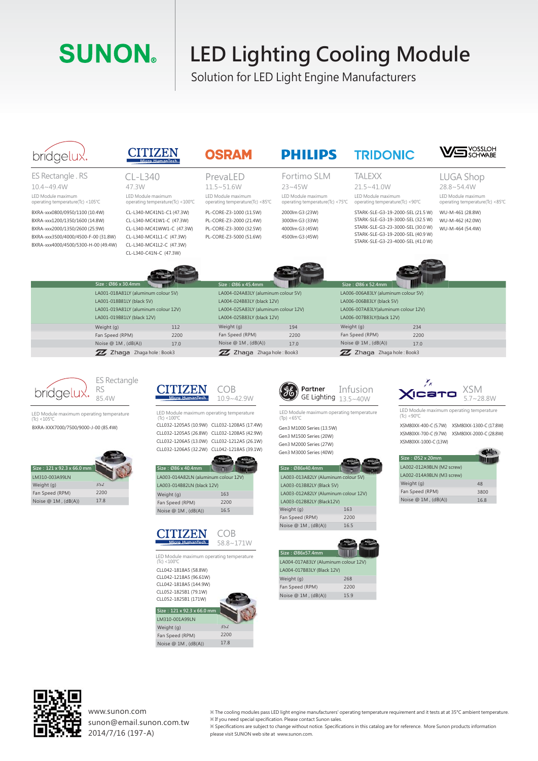## **SUNON**

|                                                                                                                                                                                  |                                        | <b>SUNON</b>                                                                                                                           |                                                                                    | <b>LED Lighting Cooling Module</b><br>Solution for LED Light Engine Manufacturers                                                                                                                                                    |                                                                                                                                                                                |            |                                                                                                                                                                                       |                                                                            |                                                                                                                                        |
|----------------------------------------------------------------------------------------------------------------------------------------------------------------------------------|----------------------------------------|----------------------------------------------------------------------------------------------------------------------------------------|------------------------------------------------------------------------------------|--------------------------------------------------------------------------------------------------------------------------------------------------------------------------------------------------------------------------------------|--------------------------------------------------------------------------------------------------------------------------------------------------------------------------------|------------|---------------------------------------------------------------------------------------------------------------------------------------------------------------------------------------|----------------------------------------------------------------------------|----------------------------------------------------------------------------------------------------------------------------------------|
| brídgelux.                                                                                                                                                                       |                                        |                                                                                                                                        | Micro HumanTech                                                                    | <b>OSRAM</b>                                                                                                                                                                                                                         | <b>PHILIPS</b>                                                                                                                                                                 |            | <b>TRIDONIC</b>                                                                                                                                                                       |                                                                            | <b>S</b> YOSSLOH                                                                                                                       |
| ES Rectangle . RS<br>$10.4 - 49.4W$                                                                                                                                              |                                        | $CL - L340$<br>47.3W                                                                                                                   |                                                                                    | PrevaLED<br>$11.5 - 51.6W$                                                                                                                                                                                                           | Fortimo SLM                                                                                                                                                                    |            | <b>TALEXX</b>                                                                                                                                                                         |                                                                            | <b>LUGA Shop</b><br>28.8~54.4W                                                                                                         |
| LED Module maximum<br>operating temperature(Tc) <105°C                                                                                                                           |                                        | LED Module maximum                                                                                                                     | operating temperature(Tc) <100°C                                                   | LED Module maximum<br>operating temperature(Tc) <85°C                                                                                                                                                                                | $23 - 45W$<br>LED Module maximum<br>operating temperature(Tc) <75°C                                                                                                            |            | $21.5 - 41.0W$<br>LED Module maximum<br>operating temperature(Tc) <90°C                                                                                                               |                                                                            | LED Module maximum<br>operating temperature(Tc) <85℃                                                                                   |
| BXRA-xxx0800/0950/1100 (10.4W)<br>BXRA-xxx1200/1350/1600 (14.8W)<br>BXRA-xxx2000/1350/2600 (25.9W)<br>BXRA-xxx3500/4000/4500-F-00 (31.8W)<br>BXRA-xxx4000/4500/5300-H-00 (49.4W) |                                        | CL-L340-MC41L1-C (47.3W)<br>CL-L340-MC41L2-C (47.3W)<br>CL-L340-C41N-C (47.3W)                                                         | CL-L340-MC41N1-C1 (47.3W)<br>CL-L340-MC41W1-C (47.3W)<br>CL-L340-MC41WW1-C (47.3W) | PL-CORE-Z3-1000 (11.5W)<br>PL-CORE-Z3-2000 (21.4W)<br>PL-CORE-Z3-3000 (32.5W)<br>PL-CORE-Z3-5000 (51.6W)                                                                                                                             | 2000lm G3 (23W)<br>3000lm G3 (33W)<br>4000lm G3 (45W)<br>4500lm G3 (45W)                                                                                                       |            | STARK-SLE-G3-19-2000-SEL (21.5 W)<br>STARK-SLE-G3-19-3000-SEL (32.5 W)<br>STARK-SLE-G3-23-3000-SEL (30.0 W)<br>STARK-SLE-G3-19-2000-SEL (40.9 W)<br>STARK-SLE-G3-23-4000-SEL (41.0 W) |                                                                            | WU-M-461 (28.8W)<br>WU-M-462 (42.0W)<br>WU-M-464 (54.4W)                                                                               |
|                                                                                                                                                                                  |                                        |                                                                                                                                        |                                                                                    |                                                                                                                                                                                                                                      |                                                                                                                                                                                |            |                                                                                                                                                                                       |                                                                            |                                                                                                                                        |
|                                                                                                                                                                                  | Size: Ø86 x 30.4mm                     | LA001-018A81LY (aluminum colour 5V)<br>LA001-018B81LY (black 5V)<br>LA001-019A81LY (aluminum colour 12V)<br>LA001-019B81LY (black 12V) |                                                                                    | Size: Ø86 x 45.4mm<br>LA004-024A83LY (aluminum colour 5V)<br>LA004-024B83LY (black 12V)<br>LA004-025A83LY (aluminum colour 12V)<br>LA004-025B83LY (black 12V)                                                                        |                                                                                                                                                                                |            | Size: Ø86 x 52.4mm<br>LA006-006A83LY (aluminum colour 5V)<br>LA006-006B83LY (black 5V)<br>LA006-007A83LY(aluminum colour 12V)<br>LA006-007B83LY(black 12V)                            |                                                                            |                                                                                                                                        |
|                                                                                                                                                                                  | Weight (g)                             |                                                                                                                                        | 112                                                                                | Weight (g)                                                                                                                                                                                                                           | 194                                                                                                                                                                            | Weight (g) |                                                                                                                                                                                       | 234                                                                        |                                                                                                                                        |
|                                                                                                                                                                                  | Fan Speed (RPM)<br>Noise @ 1M, (dB(A)) |                                                                                                                                        | 2200<br>17.0                                                                       | Fan Speed (RPM)<br>Noise @ 1M, (dB(A))                                                                                                                                                                                               | 2200<br>17.0                                                                                                                                                                   |            | Fan Speed (RPM)<br>Noise @ 1M, (dB(A))                                                                                                                                                | 2200<br>17.0                                                               |                                                                                                                                        |
|                                                                                                                                                                                  |                                        | ZZ Zhaqa Zhaqa hole: Book3                                                                                                             |                                                                                    | ZZ Zhaqa Zhaga hole: Book3                                                                                                                                                                                                           |                                                                                                                                                                                |            | ZZ Zhaqa Zhaqa hole: Book3                                                                                                                                                            |                                                                            |                                                                                                                                        |
| brídgelux.                                                                                                                                                                       | ES Rectangle<br>RS<br>85.4W            |                                                                                                                                        | Micro HumanTech                                                                    | COB<br>10.9~42.9W                                                                                                                                                                                                                    | Partner<br>GE Lighting 13.5~40W                                                                                                                                                |            | Infusion                                                                                                                                                                              |                                                                            | xsm<br>$5.7 - 28.8W$                                                                                                                   |
| LED Module maximum operating temperature<br>$(Tc) < 105^{\circ}C$<br>BXRA-XXX7000/7500/9000-J-00 (85.4W)                                                                         |                                        |                                                                                                                                        | $(Tc) < 100^{\circ}C$                                                              | LED Module maximum operating temperature<br>CLL032-1205A5 (10.9W) CLL032-1208A5 (17.4W)<br>CLL032-1205A5 (26.8W) CLL032-1208A5 (42.9W)<br>CLL032-1206A5 (13.0W) CLL032-1212A5 (26.1W)<br>CLL032-1206A5 (32.2W) CLL042-1218A5 (39.1W) | LED Module maximum operating temperature<br>$(Tp) < 65^{\circ}C$<br>Gen3 M1000 Series (13.5W)<br>Gen3 M1500 Series (20W)<br>Gen3 M2000 Series (27W)<br>Gen3 M3000 Series (40W) |            |                                                                                                                                                                                       | $(Tc) < 90^{\circ}C$<br>XSM80XX-1000-C (13W)                               | LED Module maximum operating temperature<br>XSM80XX-400-C (5.7W) XSM80XX-1300-C (17.8W)<br>XSM80XX-700-C (9.7W) XSM80XX-2000-C (28.8W) |
| Size: 121 x 92.3 x 66.0 mm<br>LM310-003A99LN                                                                                                                                     |                                        |                                                                                                                                        | Size: Ø86 x 40.4mm<br>LA003-014A82LN (aluminum colour 12V)                         |                                                                                                                                                                                                                                      | Size: Ø86x40.4mm<br>LA003-013A82LY (Aluminum colour 5V)                                                                                                                        |            |                                                                                                                                                                                       | Size: Ø52 x 20mm<br>LA002-012A9BLN (M2 screw)<br>LA002-014A9BLN (M3 screw) |                                                                                                                                        |

| Size: 121 x 92.3 x 66.0 mm |      |
|----------------------------|------|
|                            |      |
| LM310-003A99LN             |      |
| Weight (g)                 | 352  |
| Fan Speed (RPM)            | 2200 |
| Noise $@1M$ , $(dB(A))$    | 17.8 |





LED Module maximum operating temperature (Tc) <100℃

CLL042-1818A5 (58.8W) CLL042-1218A5 (96.61W) CLL042-1818A5 (144.9W)

CLL052-1825B1 (79.1W) CLL052-1825B1 (171W)



| Size: Ø86x40.4mm                     |      |
|--------------------------------------|------|
| LA003-013A82LY (Aluminum colour 5V)  |      |
| LA003-013B82LY (Black 5V)            |      |
| LA003-012A82LY (Aluminum colour 12V) |      |
| LA003-012B82LY (Black12V)            |      |
| Weight (g)                           | 163  |
| Fan Speed (RPM)                      | 2200 |
| Noise $@$ 1M, $(dB(A))$              | 16.5 |
|                                      |      |



| Size: $052 \times 20$ mm  |      |
|---------------------------|------|
| LA002-012A9BLN (M2 screw) |      |
| LA002-014A9BLN (M3 screw) |      |
| Weight (g)                | 48   |
| Fan Speed (RPM)           | 3800 |
| Noise $@$ 1M, $(dB(A))$   | 16.8 |



www.sunon.com sunon@email.sunon.com.tw 2014/7/16 (197-A)

※ The cooling modules pass LED light engine manufacturers' operating temperature requirement and it tests at at 35°C ambient temperature. ※ If you need special specification. Please contact Sunon sales.

※ Specifications are subject to change without notice. Specifications in this catalog are for reference. More Sunon products information please visit SUNON web site at www.sunon.com.